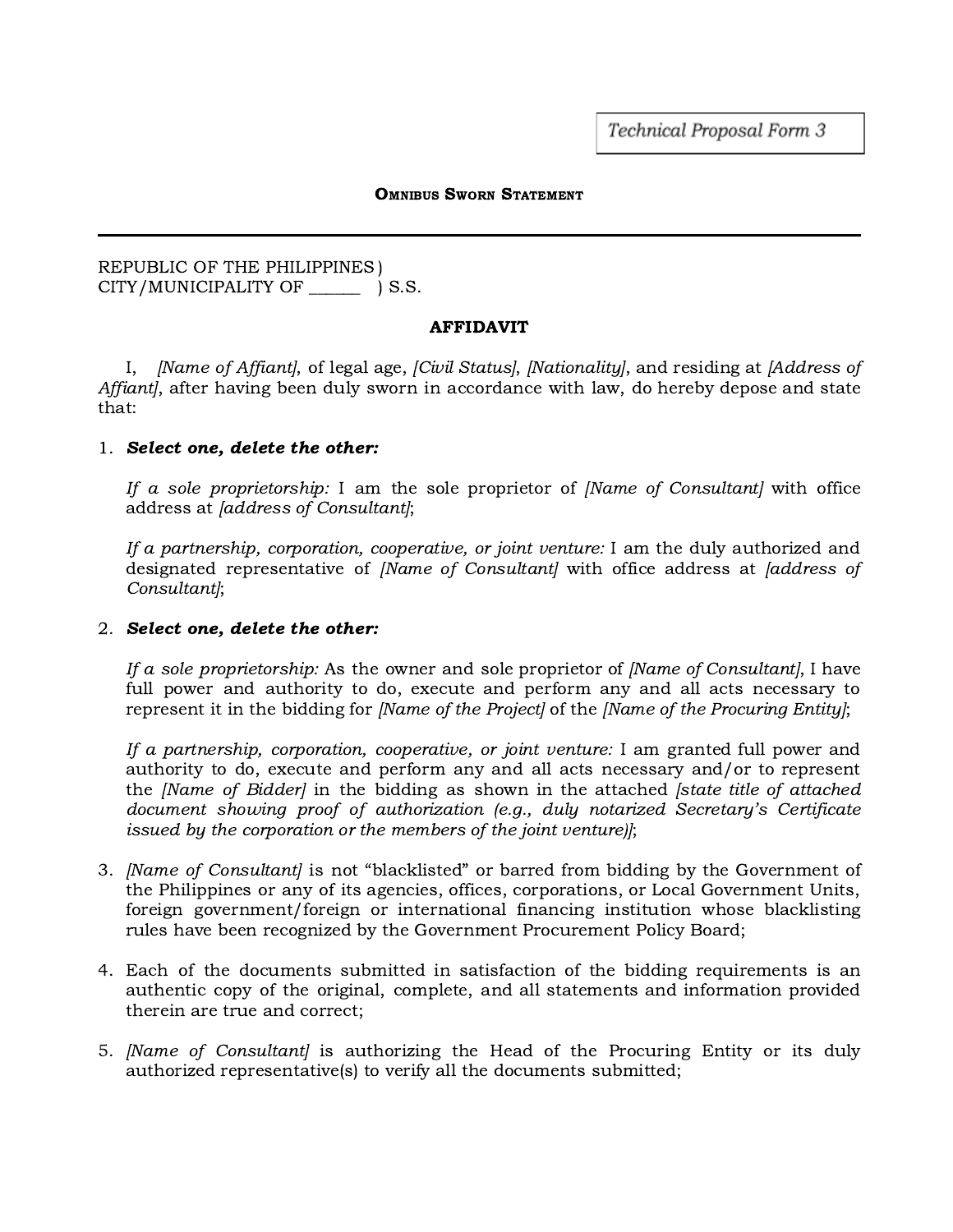Technical Proposal Form 3

#### OMNIBUS SWORN STATEMENT

## REPUBLIC OF THE PHILIPPINES ) CITY/MUNICIPALITY OF \_\_\_\_\_\_ ) S.S.

### AFFIDAVIT

I, *[Name of Affiant]*, of legal age, *[Civil Status]*, *[Nationality]*, and residing at *[Address of* Affiant, after having been duly sworn in accordance with law, do hereby depose and state that:

### 1. Select one, delete the other:

If a sole proprietorship: I am the sole proprietor of  $(Name$  of Consultant with office address at [address of Consultant];

If a partnership, corporation, cooperative, or joint venture: I am the duly authorized and designated representative of *[Name of Consultant]* with office address at *[address of* Consultant];

# 2. Select one, delete the other:

If a sole proprietorship: As the owner and sole proprietor of *[Name of Consultant]*, I have full power and authority to do, execute and perform any and all acts necessary to represent it in the bidding for *[Name of the Project]* of the *[Name of the Procuring Entity]*;

If a partnership, corporation, cooperative, or joint venture: I am granted full power and authority to do, execute and perform any and all acts necessary and/or to represent the *[Name of Bidder]* in the bidding as shown in the attached *[state title of attached* document showing proof of authorization (e.g., duly notarized Secretary's Certificate issued by the corporation or the members of the joint venture)];

- 3. *[Name of Consultant]* is not "blacklisted" or barred from bidding by the Government of the Philippines or any of its agencies, offices, corporations, or Local Government Units, foreign government/foreign or international financing institution whose blacklisting rules have been recognized by the Government Procurement Policy Board;
- 4. Each of the documents submitted in satisfaction of the bidding requirements is an authentic copy of the original, complete, and all statements and information provided therein are true and correct;
- 5. *[Name of Consultant]* is authorizing the Head of the Procuring Entity or its duly authorized representative(s) to verify all the documents submitted;